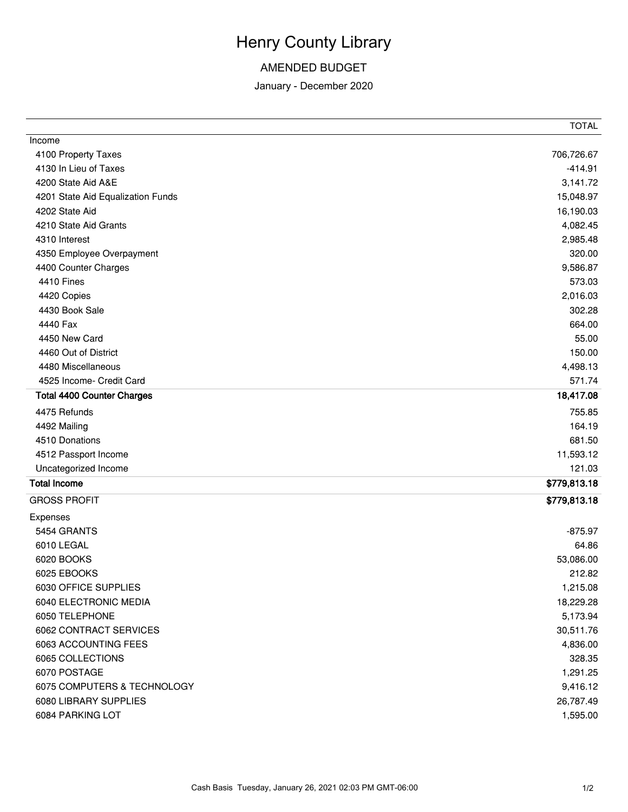## Henry County Library

## AMENDED BUDGET

January - December 2020

|                                   | <b>TOTAL</b> |
|-----------------------------------|--------------|
| Income                            |              |
| 4100 Property Taxes               | 706,726.67   |
| 4130 In Lieu of Taxes             | $-414.91$    |
| 4200 State Aid A&E                | 3,141.72     |
| 4201 State Aid Equalization Funds | 15,048.97    |
| 4202 State Aid                    | 16,190.03    |
| 4210 State Aid Grants             | 4,082.45     |
| 4310 Interest                     | 2,985.48     |
| 4350 Employee Overpayment         | 320.00       |
| 4400 Counter Charges              | 9,586.87     |
| 4410 Fines                        | 573.03       |
| 4420 Copies                       | 2,016.03     |
| 4430 Book Sale                    | 302.28       |
| 4440 Fax                          | 664.00       |
| 4450 New Card                     | 55.00        |
| 4460 Out of District              | 150.00       |
| 4480 Miscellaneous                | 4,498.13     |
| 4525 Income- Credit Card          | 571.74       |
| <b>Total 4400 Counter Charges</b> | 18,417.08    |
| 4475 Refunds                      | 755.85       |
| 4492 Mailing                      | 164.19       |
| 4510 Donations                    | 681.50       |
| 4512 Passport Income              | 11,593.12    |
| Uncategorized Income              | 121.03       |
| <b>Total Income</b>               | \$779,813.18 |
| <b>GROSS PROFIT</b>               | \$779,813.18 |
| Expenses                          |              |
| 5454 GRANTS                       | $-875.97$    |
| 6010 LEGAL                        | 64.86        |
| 6020 BOOKS                        | 53,086.00    |
| 6025 EBOOKS                       | 212.82       |
| 6030 OFFICE SUPPLIES              | 1,215.08     |
| 6040 ELECTRONIC MEDIA             | 18,229.28    |
| 6050 TELEPHONE                    | 5,173.94     |
| 6062 CONTRACT SERVICES            | 30,511.76    |
| 6063 ACCOUNTING FEES              | 4,836.00     |
| 6065 COLLECTIONS                  | 328.35       |
| 6070 POSTAGE                      | 1,291.25     |
| 6075 COMPUTERS & TECHNOLOGY       | 9,416.12     |
| 6080 LIBRARY SUPPLIES             | 26,787.49    |
| 6084 PARKING LOT                  | 1,595.00     |
|                                   |              |